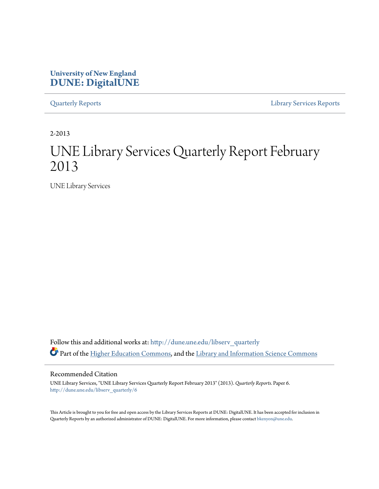### **University of New England [DUNE: DigitalUNE](http://dune.une.edu?utm_source=dune.une.edu%2Flibserv_quarterly%2F6&utm_medium=PDF&utm_campaign=PDFCoverPages)**

[Quarterly Reports](http://dune.une.edu/libserv_quarterly?utm_source=dune.une.edu%2Flibserv_quarterly%2F6&utm_medium=PDF&utm_campaign=PDFCoverPages) [Library Services Reports](http://dune.une.edu/libserv_reports?utm_source=dune.une.edu%2Flibserv_quarterly%2F6&utm_medium=PDF&utm_campaign=PDFCoverPages)

2-2013

# UNE Library Services Quarterly Report February 2013

UNE Library Services

Follow this and additional works at: [http://dune.une.edu/libserv\\_quarterly](http://dune.une.edu/libserv_quarterly?utm_source=dune.une.edu%2Flibserv_quarterly%2F6&utm_medium=PDF&utm_campaign=PDFCoverPages) Part of the [Higher Education Commons](http://network.bepress.com/hgg/discipline/1245?utm_source=dune.une.edu%2Flibserv_quarterly%2F6&utm_medium=PDF&utm_campaign=PDFCoverPages), and the [Library and Information Science Commons](http://network.bepress.com/hgg/discipline/1018?utm_source=dune.une.edu%2Flibserv_quarterly%2F6&utm_medium=PDF&utm_campaign=PDFCoverPages)

Recommended Citation

UNE Library Services, "UNE Library Services Quarterly Report February 2013" (2013). *Quarterly Reports.* Paper 6. [http://dune.une.edu/libserv\\_quarterly/6](http://dune.une.edu/libserv_quarterly/6?utm_source=dune.une.edu%2Flibserv_quarterly%2F6&utm_medium=PDF&utm_campaign=PDFCoverPages)

This Article is brought to you for free and open access by the Library Services Reports at DUNE: DigitalUNE. It has been accepted for inclusion in Quarterly Reports by an authorized administrator of DUNE: DigitalUNE. For more information, please contact [bkenyon@une.edu.](mailto:bkenyon@une.edu)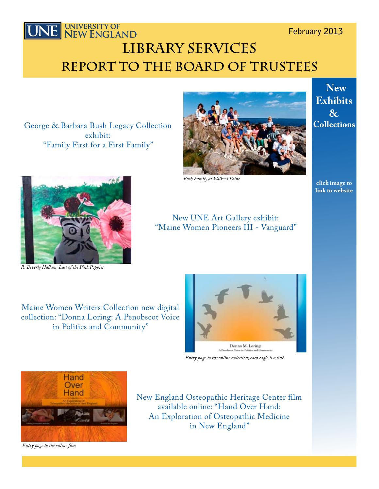# UNIVERSITY OF<br>NEW ENGLAND **Library Services REpORT TO THE BOARD OF TRUSTEES**

George & Barbara Bush Legacy Collection exhibit: "Family First for a First Family"



*Bush Family at Walker's Point*

New UNE Art Gallery exhibit: "Maine Women Pioneers III - Vanguard" **click image to link to website**



*R. Beverly Hallam, Last of the Pink Poppies*

Maine Women Writers Collection new digital collection: "Donna Loring: A Penobscot Voice in Politics and Community"



*Entry page to the online collection; each eagle is a link*



*Entry page to the online film*

New England Osteopathic Heritage Center film available online: "Hand Over Hand: An Exploration of Osteopathic Medicine in New England"

 **New Exhibits & Collections**

**February 2013**